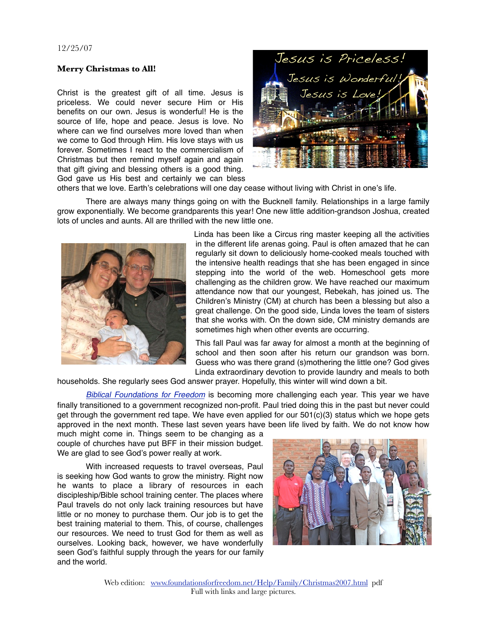## 12/25/07

## **Merry Christmas to All!**

Christ is the greatest gift of all time. Jesus is priceless. We could never secure Him or His benefits on our own. Jesus is wonderful! He is the source of life, hope and peace. Jesus is love. No where can we find ourselves more loved than when we come to God through Him. His love stays with us forever. Sometimes I react to the commercialism of Christmas but then remind myself again and again that gift giving and blessing others is a good thing. God gave us His best and certainly we can bless



others that we love. Earth's celebrations will one day cease without living with Christ in one's life.

There are always many things going on with the Bucknell family. Relationships in a large family grow exponentially. We become grandparents this year! One new little addition-grandson Joshua, created lots of uncles and aunts. All are thrilled with the new little one.



Linda has been like a Circus ring master keeping all the activities in the different life arenas going. Paul is often amazed that he can regularly sit down to deliciously home-cooked meals touched with the intensive health readings that she has been engaged in since stepping into the world of the web. Homeschool gets more challenging as the children grow. We have reached our maximum attendance now that our youngest, Rebekah, has joined us. The Children's Ministry (CM) at church has been a blessing but also a great challenge. On the good side, Linda loves the team of sisters that she works with. On the down side, CM ministry demands are sometimes high when other events are occurring.

This fall Paul was far away for almost a month at the beginning of school and then soon after his return our grandson was born. Guess who was there grand (s)mothering the little one? God gives Linda extraordinary devotion to provide laundry and meals to both

households. She regularly sees God answer prayer. Hopefully, this winter will wind down a bit.

*[Biblical Foundations for Freedom](http://www.foundationsforfreedom.net/)* is becoming more challenging each year. This year we have finally transitioned to a government recognized non-profit. Paul tried doing this in the past but never could get through the government red tape. We have even applied for our 501(c)(3) status which we hope gets approved in the next month. These last seven years have been life lived by faith. We do not know how

much might come in. Things seem to be changing as a couple of churches have put BFF in their mission budget. We are glad to see God's power really at work.

With increased requests to travel overseas, Paul is seeking how God wants to grow the ministry. Right now he wants to place a library of resources in each discipleship/Bible school training center. The places where Paul travels do not only lack training resources but have little or no money to purchase them. Our job is to get the best training material to them. This, of course, challenges our resources. We need to trust God for them as well as ourselves. Looking back, however, we have wonderfully seen God's faithful supply through the years for our family and the world.



Web edition: [www.foundationsforfreedom.net/Help/Family/Christmas2007.html](http://www.foundationsforfreedom.net/Help/Family/Christmas2007.html) pdf Full with links and large pictures.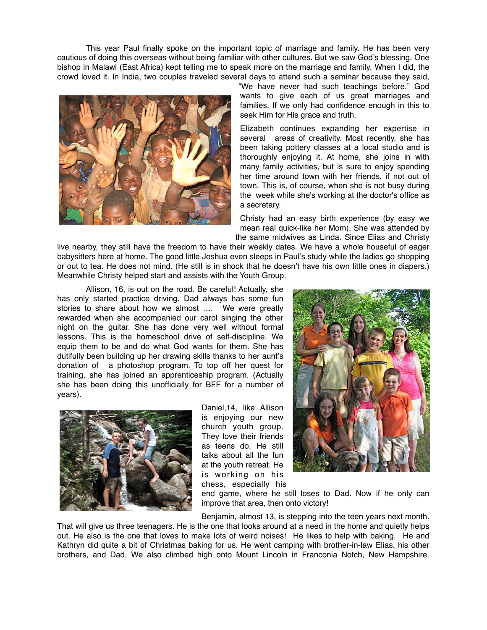This year Paul finally spoke on the important topic of marriage and family. He has been very cautious of doing this overseas without being familiar with other cultures. But we saw God's blessing. One bishop in Malawi (East Africa) kept telling me to speak more on the marriage and family. When I did, the crowd loved it. In India, two couples traveled several days to attend such a seminar because they said,



"We have never had such teachings before." God wants to give each of us great marriages and families. If we only had confidence enough in this to seek Him for His grace and truth.

Elizabeth continues expanding her expertise in several areas of creativity. Most recently, she has been taking pottery classes at a local studio and is thoroughly enjoying it. At home, she joins in with many family activities, but is sure to enjoy spending her time around town with her friends, if not out of town. This is, of course, when she is not busy during the week while she's working at the doctor's office as a secretary.

Christy had an easy birth experience (by easy we mean real quick-like her Mom). She was attended by the same midwives as Linda. Since Elias and Christy

live nearby, they still have the freedom to have their weekly dates. We have a whole houseful of eager babysitters here at home. The good little Joshua even sleeps in Paul's study while the ladies go shopping or out to tea. He does not mind. (He still is in shock that he doesn't have his own little ones in diapers.) Meanwhile Christy helped start and assists with the Youth Group.

Allison, 16, is out on the road. Be careful! Actually, she has only started practice driving. Dad always has some fun stories to share about how we almost …. We were greatly rewarded when she accompanied our carol singing the other night on the guitar. She has done very well without formal lessons. This is the homeschool drive of self-discipline. We equip them to be and do what God wants for them. She has dutifully been building up her drawing skills thanks to her aunt's donation of a photoshop program. To top off her quest for training, she has joined an apprenticeship program. (Actually she has been doing this unofficially for BFF for a number of years).



Daniel,14, like Allison is enjoying our new church youth group. They love their friends as teens do. He still talks about all the fun at the youth retreat. He is working on his chess, especially his



end game, where he still loses to Dad. Now if he only can improve that area, then onto victory!

Benjamin, almost 13, is stepping into the teen years next month.

That will give us three teenagers. He is the one that looks around at a need in the home and quietly helps out. He also is the one that loves to make lots of weird noises! He likes to help with baking. He and Kathryn did quite a bit of Christmas baking for us. He went camping with brother-in-law Elias, his other brothers, and Dad. We also climbed high onto Mount Lincoln in Franconia Notch, New Hampshire.